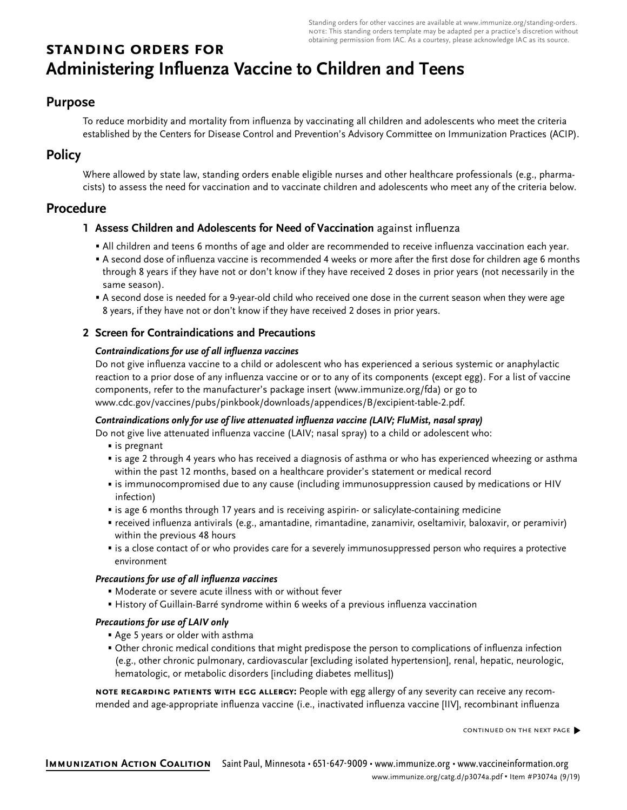Standing orders for other vaccines are available at www.immunize.org/standing-orders. note: This standing orders template may be adapted per a practice's discretion without obtaining permission from IAC. As a courtesy, please acknowledge IAC as its source.

# **standing orders for Administering Influenza Vaccine to Children and Teens**

## **Purpose**

To reduce morbidity and mortality from influenza by vaccinating all children and adolescents who meet the criteria established by the Centers for Disease Control and Prevention's Advisory Committee on Immunization Practices (ACIP).

# **Policy**

Where allowed by state law, standing orders enable eligible nurses and other healthcare professionals (e.g., pharmacists) to assess the need for vaccination and to vaccinate children and adolescents who meet any of the criteria below.

# **Procedure**

### **1 Assess Children and Adolescents for Need of Vaccination** against influenza

- All children and teens 6 months of age and older are recommended to receive influenza vaccination each year.
- A second dose of influenza vaccine is recommended 4 weeks or more after the first dose for children age 6 months through 8 years if they have not or don't know if they have received 2 doses in prior years (not necessarily in the same season).
- A second dose is needed for a 9-year-old child who received one dose in the current season when they were age 8 years, if they have not or don't know if they have received 2 doses in prior years.

### **2 Screen for Contraindications and Precautions**

#### **Contraindications for use of all influenza vaccines**

Do not give influenza vaccine to a child or adolescent who has experienced a serious systemic or anaphylactic reaction to a prior dose of any influenza vaccine or or to any of its components (except egg). For a list of vaccine components, refer to the manufacturer's package insert (www.immunize.org/fda) or go to www.cdc.gov/vaccines/pubs/pinkbook/downloads/appendices/B/excipient-table-2.pdf.

#### **Contraindications only for use of live attenuated influenza vaccine (LAIV; FluMist, nasal spray)**

- Do not give live attenuated influenza vaccine (LAIV; nasal spray) to a child or adolescent who:
	- is pregnant
	- is age 2 through 4 years who has received a diagnosis of asthma or who has experienced wheezing or asthma within the past 12 months, based on a healthcare provider's statement or medical record
	- is immunocompromised due to any cause (including immunosuppression caused by medications or HIV infection)
	- is age 6 months through 17 years and is receiving aspirin- or salicylate-containing medicine
	- received influenza antivirals (e.g., amantadine, rimantadine, zanamivir, oseltamivir, baloxavir, or peramivir) within the previous 48 hours
	- is a close contact of or who provides care for a severely immunosuppressed person who requires a protective environment

#### **Precautions for use of all influenza vaccines**

- Moderate or severe acute illness with or without fever
- History of Guillain-Barré syndrome within 6 weeks of a previous influenza vaccination

#### **Precautions for use of LAIV only**

- Age 5 years or older with asthma
- Other chronic medical conditions that might predispose the person to complications of influenza infection (e.g., other chronic pulmonary, cardiovascular [excluding isolated hypertension], renal, hepatic, neurologic, hematologic, or metabolic disorders [including diabetes mellitus])

**note regarding patients with egg allergy:** People with egg allergy of any severity can receive any recommended and age-appropriate influenza vaccine (i.e., inactivated influenza vaccine [IIV], recombinant influenza

continued on the next page�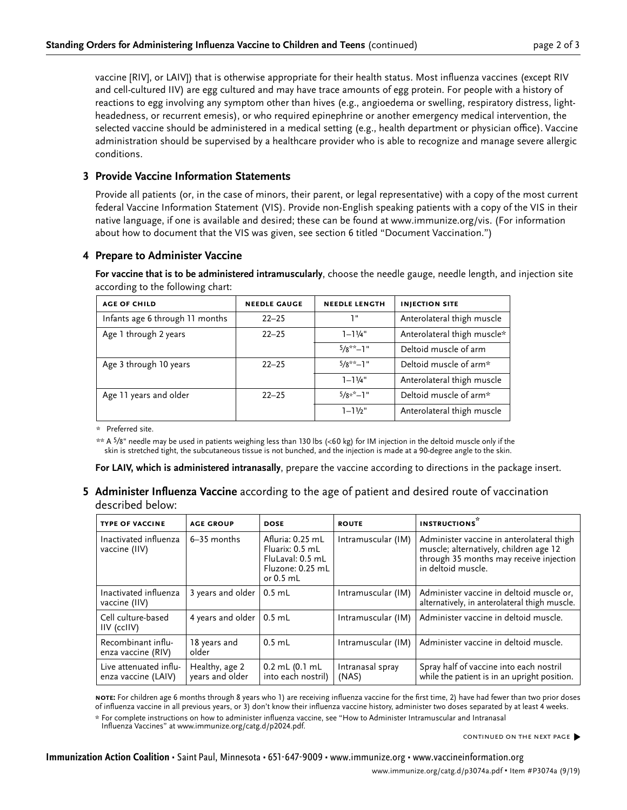vaccine [RIV], or LAIV]) that is otherwise appropriate for their health status. Most influenza vaccines (except RIV and cell-cultured IIV) are egg cultured and may have trace amounts of egg protein. For people with a history of reactions to egg involving any symptom other than hives (e.g., angioedema or swelling, respiratory distress, lightheadedness, or recurrent emesis), or who required epinephrine or another emergency medical intervention, the selected vaccine should be administered in a medical setting (e.g., health department or physician office). Vaccine administration should be supervised by a healthcare provider who is able to recognize and manage severe allergic conditions.

### **3 Provide Vaccine Information Statements**

Provide all patients (or, in the case of minors, their parent, or legal representative) with a copy of the most current federal Vaccine Information Statement (VIS). Provide non-English speaking patients with a copy of the VIS in their native language, if one is available and desired; these can be found at www.immunize.org/vis. (For information about how to document that the VIS was given, see section 6 titled "Document Vaccination.")

### **4 Prepare to Administer Vaccine**

**For vaccine that is to be administered intramuscularly**, choose the needle gauge, needle length, and injection site according to the following chart:

| <b>AGE OF CHILD</b>             | <b>NEEDLE GAUGE</b> | <b>NEEDLE LENGTH</b> | <b>INJECTION SITE</b>       |
|---------------------------------|---------------------|----------------------|-----------------------------|
| Infants age 6 through 11 months | $22 - 25$           | יי ד                 | Anterolateral thigh muscle  |
| Age 1 through 2 years           | $22 - 25$           | $1 - 1\frac{1}{4}$ " | Anterolateral thigh muscle* |
|                                 |                     | $5/8**-1"$           | Deltoid muscle of arm       |
| Age 3 through 10 years          | $22 - 25$           | $5/8$ **_1"          | Deltoid muscle of arm*      |
|                                 |                     | $1 - 1\frac{1}{4}$ " | Anterolateral thigh muscle  |
| Age 11 years and older          | $22 - 25$           | $5/8*^*$ -1"         | Deltoid muscle of arm*      |
|                                 |                     | $1 - 1\frac{1}{2}$ " | Anterolateral thigh muscle  |

\* Preferred site.

\*\* A 5⁄8" needle may be used in patients weighing less than 130 lbs (<60 kg) for IM injection in the deltoid muscle only if the skin is stretched tight, the subcutaneous tissue is not bunched, and the injection is made at a 90-degree angle to the skin.

**For LAIV, which is administered intranasally**, prepare the vaccine according to directions in the package insert.

**5 Administer Influenza Vaccine** according to the age of patient and desired route of vaccination described below:

| <b>TYPE OF VACCINE</b>                        | <b>AGE GROUP</b>                  | <b>DOSE</b>                                                                                | <b>ROUTE</b>              | <b>INSTRUCTIONS</b>                                                                                                                                  |
|-----------------------------------------------|-----------------------------------|--------------------------------------------------------------------------------------------|---------------------------|------------------------------------------------------------------------------------------------------------------------------------------------------|
| Inactivated influenza<br>vaccine (IIV)        | $6-35$ months                     | Afluria: 0.25 mL<br>Fluarix: 0.5 mL<br>FluLaval: 0.5 mL<br>Fluzone: 0.25 mL<br>or $0.5$ mL | Intramuscular (IM)        | Administer vaccine in anterolateral thigh<br>muscle; alternatively, children age 12<br>through 35 months may receive injection<br>in deltoid muscle. |
| Inactivated influenza<br>vaccine (IIV)        | 3 years and older                 | $0.5$ mL                                                                                   | Intramuscular (IM)        | Administer vaccine in deltoid muscle or,<br>alternatively, in anterolateral thigh muscle.                                                            |
| Cell culture-based<br>IIV (ccIIV)             | 4 years and older $\vert$ 0.5 mL  |                                                                                            | Intramuscular (IM)        | Administer vaccine in deltoid muscle.                                                                                                                |
| Recombinant influ-<br>enza vaccine (RIV)      | 18 years and<br>older             | $0.5$ mL                                                                                   | Intramuscular (IM)        | Administer vaccine in deltoid muscle.                                                                                                                |
| Live attenuated influ-<br>enza vaccine (LAIV) | Healthy, age 2<br>years and older | $0.2$ mL $(0.1$ mL<br>into each nostril)                                                   | Intranasal spray<br>(NAS) | Spray half of vaccine into each nostril<br>while the patient is in an upright position.                                                              |

**note:** For children age 6 months through 8 years who 1) are receiving influenza vaccine for the first time, 2) have had fewer than two prior doses of influenza vaccine in all previous years, or 3) don't know their influenza vaccine history, administer two doses separated by at least 4 weeks.

\* For complete instructions on how to administer influenza vaccine, see "How to Administer Intramuscular and Intranasal Influenza Vaccines" at www.immunize.org/catg.d/p2024.pdf.

continued on the next page�

**Immunization Action Coalition** • Saint Paul, Minnesota • 651-647-9009 • www.immunize.org • www.vaccineinformation.org www.immunize.org/catg.d/p3074a.pdf • Item #P3074a (9/19)